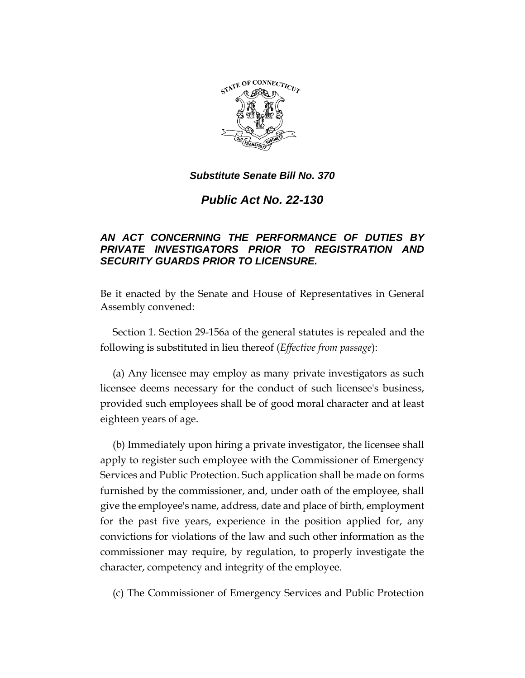

## *Substitute Senate Bill No. 370*

*Public Act No. 22-130*

## *AN ACT CONCERNING THE PERFORMANCE OF DUTIES BY PRIVATE INVESTIGATORS PRIOR TO REGISTRATION AND SECURITY GUARDS PRIOR TO LICENSURE.*

Be it enacted by the Senate and House of Representatives in General Assembly convened:

Section 1. Section 29-156a of the general statutes is repealed and the following is substituted in lieu thereof (*Effective from passage*):

(a) Any licensee may employ as many private investigators as such licensee deems necessary for the conduct of such licensee's business, provided such employees shall be of good moral character and at least eighteen years of age.

(b) Immediately upon hiring a private investigator, the licensee shall apply to register such employee with the Commissioner of Emergency Services and Public Protection. Such application shall be made on forms furnished by the commissioner, and, under oath of the employee, shall give the employee's name, address, date and place of birth, employment for the past five years, experience in the position applied for, any convictions for violations of the law and such other information as the commissioner may require, by regulation, to properly investigate the character, competency and integrity of the employee.

(c) The Commissioner of Emergency Services and Public Protection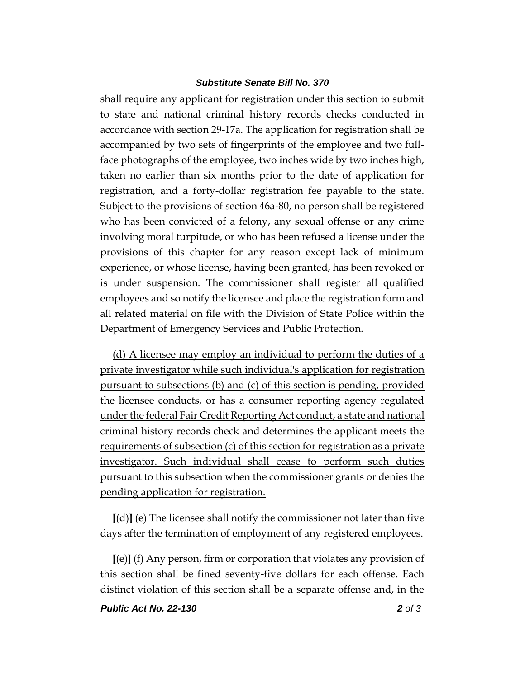## *Substitute Senate Bill No. 370*

shall require any applicant for registration under this section to submit to state and national criminal history records checks conducted in accordance with section 29-17a. The application for registration shall be accompanied by two sets of fingerprints of the employee and two fullface photographs of the employee, two inches wide by two inches high, taken no earlier than six months prior to the date of application for registration, and a forty-dollar registration fee payable to the state. Subject to the provisions of section 46a-80, no person shall be registered who has been convicted of a felony, any sexual offense or any crime involving moral turpitude, or who has been refused a license under the provisions of this chapter for any reason except lack of minimum experience, or whose license, having been granted, has been revoked or is under suspension. The commissioner shall register all qualified employees and so notify the licensee and place the registration form and all related material on file with the Division of State Police within the Department of Emergency Services and Public Protection.

(d) A licensee may employ an individual to perform the duties of a private investigator while such individual's application for registration pursuant to subsections (b) and (c) of this section is pending, provided the licensee conducts, or has a consumer reporting agency regulated under the federal Fair Credit Reporting Act conduct, a state and national criminal history records check and determines the applicant meets the requirements of subsection (c) of this section for registration as a private investigator. Such individual shall cease to perform such duties pursuant to this subsection when the commissioner grants or denies the pending application for registration.

**[**(d)**]** (e) The licensee shall notify the commissioner not later than five days after the termination of employment of any registered employees.

**[**(e)**]** (f) Any person, firm or corporation that violates any provision of this section shall be fined seventy-five dollars for each offense. Each distinct violation of this section shall be a separate offense and, in the